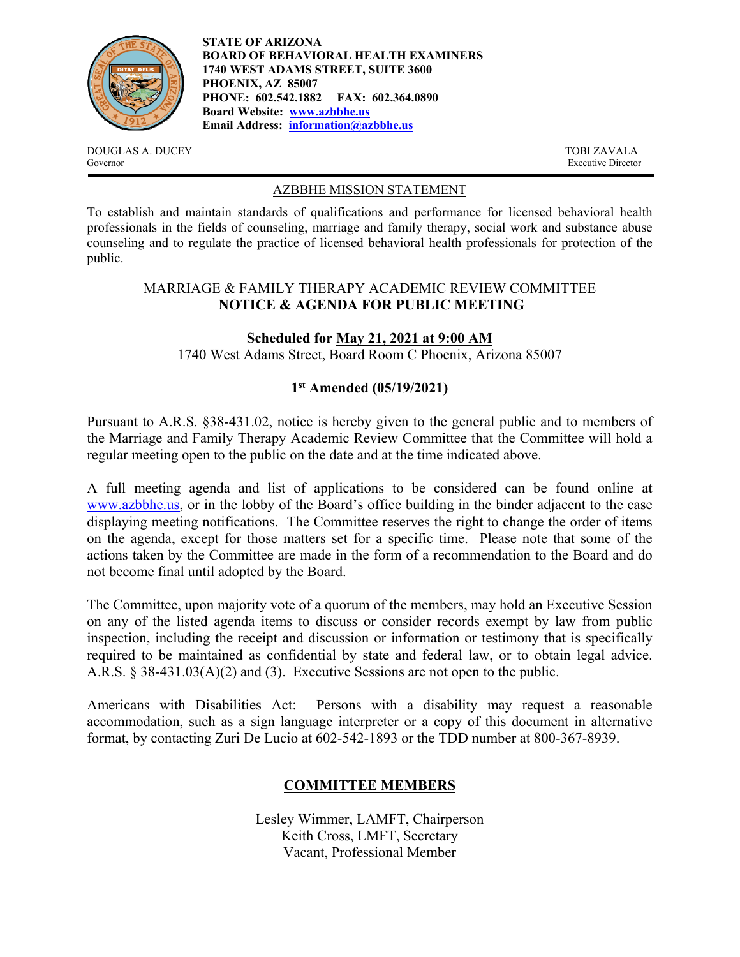

**STATE OF ARIZONA BOARD OF BEHAVIORAL HEALTH EXAMINERS 1740 WEST ADAMS STREET, SUITE 3600 PHOENIX, AZ 85007 PHONE: 602.542.1882 FAX: 602.364.0890 Board Website: www.azbbhe.us Email Address: information@azbbhe.us**

DOUGLAS A. DUCEY TOBI ZAVALA Governor Executive Director

#### AZBBHE MISSION STATEMENT

To establish and maintain standards of qualifications and performance for licensed behavioral health professionals in the fields of counseling, marriage and family therapy, social work and substance abuse counseling and to regulate the practice of licensed behavioral health professionals for protection of the public.

# MARRIAGE & FAMILY THERAPY ACADEMIC REVIEW COMMITTEE **NOTICE & AGENDA FOR PUBLIC MEETING**

# **Scheduled for May 21, 2021 at 9:00 AM**

1740 West Adams Street, Board Room C Phoenix, Arizona 85007

# **1st Amended (05/19/2021)**

Pursuant to A.R.S. §38-431.02, notice is hereby given to the general public and to members of the Marriage and Family Therapy Academic Review Committee that the Committee will hold a regular meeting open to the public on the date and at the time indicated above.

A full meeting agenda and list of applications to be considered can be found online at www.azbbhe.us, or in the lobby of the Board's office building in the binder adjacent to the case displaying meeting notifications. The Committee reserves the right to change the order of items on the agenda, except for those matters set for a specific time. Please note that some of the actions taken by the Committee are made in the form of a recommendation to the Board and do not become final until adopted by the Board.

The Committee, upon majority vote of a quorum of the members, may hold an Executive Session on any of the listed agenda items to discuss or consider records exempt by law from public inspection, including the receipt and discussion or information or testimony that is specifically required to be maintained as confidential by state and federal law, or to obtain legal advice. A.R.S. § 38-431.03(A)(2) and (3). Executive Sessions are not open to the public.

Americans with Disabilities Act: Persons with a disability may request a reasonable accommodation, such as a sign language interpreter or a copy of this document in alternative format, by contacting Zuri De Lucio at 602-542-1893 or the TDD number at 800-367-8939.

# **COMMITTEE MEMBERS**

Lesley Wimmer, LAMFT, Chairperson Keith Cross, LMFT, Secretary Vacant, Professional Member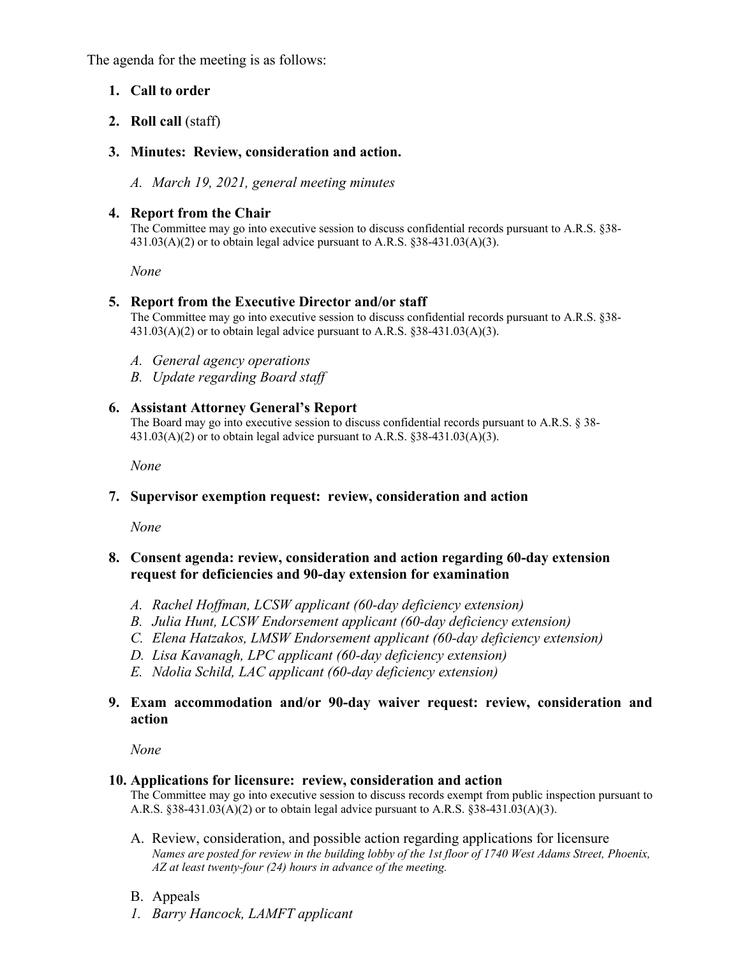The agenda for the meeting is as follows:

## **1. Call to order**

# **2. Roll call** (staff)

# **3. Minutes: Review, consideration and action.**

*A. March 19, 2021, general meeting minutes* 

# **4. Report from the Chair**

The Committee may go into executive session to discuss confidential records pursuant to A.R.S. §38-  $431.03(A)(2)$  or to obtain legal advice pursuant to A.R.S. §38-431.03(A)(3).

 *None* 

### **5. Report from the Executive Director and/or staff**

The Committee may go into executive session to discuss confidential records pursuant to A.R.S. §38-  $431.03(A)(2)$  or to obtain legal advice pursuant to A.R.S. §38-431.03(A)(3).

- *A. General agency operations*
- *B. Update regarding Board staff*

### **6. Assistant Attorney General's Report**

The Board may go into executive session to discuss confidential records pursuant to A.R.S. § 38-  $431.03(A)(2)$  or to obtain legal advice pursuant to A.R.S.  $838-431.03(A)(3)$ .

 *None* 

### **7. Supervisor exemption request: review, consideration and action**

*None* 

### **8. Consent agenda: review, consideration and action regarding 60-day extension request for deficiencies and 90-day extension for examination**

- *A. Rachel Hoffman, LCSW applicant (60-day deficiency extension)*
- *B. Julia Hunt, LCSW Endorsement applicant (60-day deficiency extension)*
- *C. Elena Hatzakos, LMSW Endorsement applicant (60-day deficiency extension)*
- *D. Lisa Kavanagh, LPC applicant (60-day deficiency extension)*
- *E. Ndolia Schild, LAC applicant (60-day deficiency extension)*

### **9. Exam accommodation and/or 90-day waiver request: review, consideration and action**

*None* 

### **10. Applications for licensure: review, consideration and action**

The Committee may go into executive session to discuss records exempt from public inspection pursuant to A.R.S. §38-431.03(A)(2) or to obtain legal advice pursuant to A.R.S. §38-431.03(A)(3).

- A. Review, consideration, and possible action regarding applications for licensure  *Names are posted for review in the building lobby of the 1st floor of 1740 West Adams Street, Phoenix, AZ at least twenty-four (24) hours in advance of the meeting.*
- B. Appeals
- *1. Barry Hancock, LAMFT applicant*